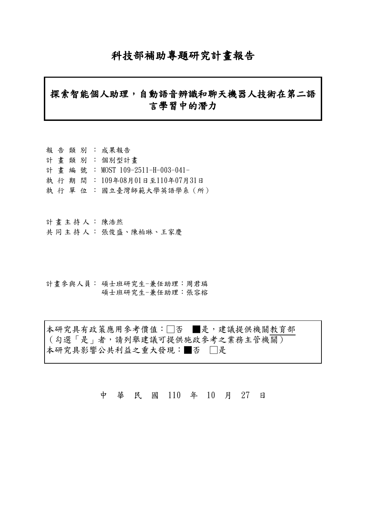# 科技部補助專題研究計畫報告

# 探索智能個人助理,自動語音辨識和聊天機器人技術在第二語 言學習中的潛力

- 報告類別: 成果報告 計畫類別: 個別型計畫 計畫編號: MOST 109-2511-H-003-041- 執行期間: 109年08月01日至110年07月31日
- 執 行 單 位 : 國立臺灣師範大學英語學系(所)

計畫主持人: 陳浩然

- 共同主持人: 張俊盛、陳柏琳、王家慶
- 計畫參與人員: 碩士班研究生-兼任助理:周君璘 碩士班研究生-兼任助理:張容榕

本研究具有政策應用參考價值:□否 ■是,建議提供機關教育部 (勾選「是」者,請列舉建議可提供施政參考之業務主管機關) 本研究具影響公共利益之重大發現:■否 □是

中 華 民 國 110 年 10 月 27 日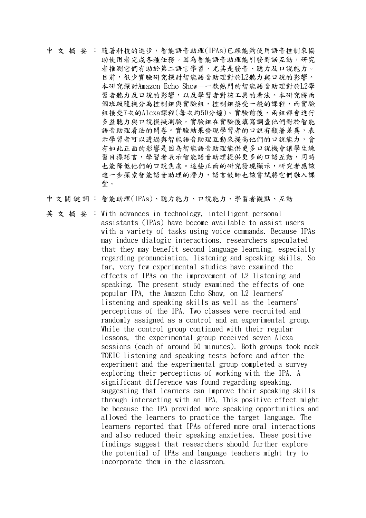中文摘要: 隨著科技的進步,智能語音助理(IPAs)已經能夠使用語音控制來協 助使用者完成各種任務。因為智能語音助理能引發對話互動,研究 者推測它們有助於第二語言學習,尤其是發音、聽力及口說能力。 目前,很少實驗研究探討智能語音助理對於L2聽力與口說的影響。 本研究探討Amazon Echo Show—一款熱門的智能語音助理對於L2學 習者聽力及口說的影響,以及學習者對該工具的看法。本研究將兩 個班級隨機分為控制組與實驗組,控制組接受一般的課程,而實驗 組接受7次的Alexa課程(每次約50分鐘)。實驗前後,兩組都會進行 多益聽力與口說模擬測驗,實驗組在實驗後填寫調查他們對於智能 語音助理看法的問卷。實驗結果發現學習者的口說有顯著差異,表 示學習者可以透過與智能語音助理互動來提高他們的口說能力,會 有如此正面的影響是因為智能語音助理能供更多口說機會讓學生練 習目標語言,學習者表示智能語音助理提供更多的口語互動,同時 也能降低他們的口說焦慮。這些正面的研究發現顯示,研究者應該 進一步探索智能語音助理的潛力,語言教師也該嘗試將它們融入課 堂。

中文關鍵詞: 智能助理(IPAs)、聽力能力、口說能力、學習者觀點、互動

英文摘要: With advances in technology, intelligent personal assistants (IPAs) have become available to assist users with a variety of tasks using voice commands. Because IPAs may induce dialogic interactions, researchers speculated that they may benefit second language learning, especially regarding pronunciation, listening and speaking skills. So far, very few experimental studies have examined the effects of IPAs on the improvement of L2 listening and speaking. The present study examined the effects of one popular IPA, the Amazon Echo Show, on L2 learners' listening and speaking skills as well as the learners' perceptions of the IPA. Two classes were recruited and randomly assigned as a control and an experimental group. While the control group continued with their regular lessons, the experimental group received seven Alexa sessions (each of around 50 minutes). Both groups took mock TOEIC listening and speaking tests before and after the experiment and the experimental group completed a survey exploring their perceptions of working with the IPA. A significant difference was found regarding speaking, suggesting that learners can improve their speaking skills through interacting with an IPA. This positive effect might be because the IPA provided more speaking opportunities and allowed the learners to practice the target language. The learners reported that IPAs offered more oral interactions and also reduced their speaking anxieties. These positive findings suggest that researchers should further explore the potential of IPAs and language teachers might try to incorporate them in the classroom.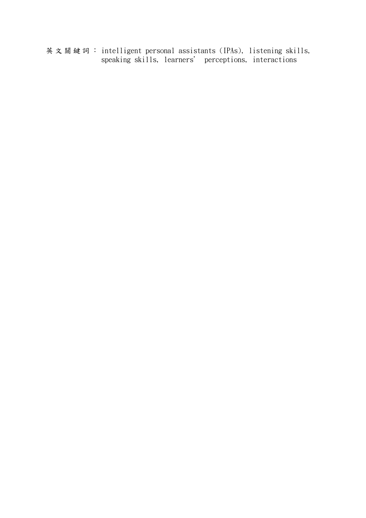英文關鍵詞: intelligent personal assistants (IPAs), listening skills, speaking skills, learners' perceptions, interactions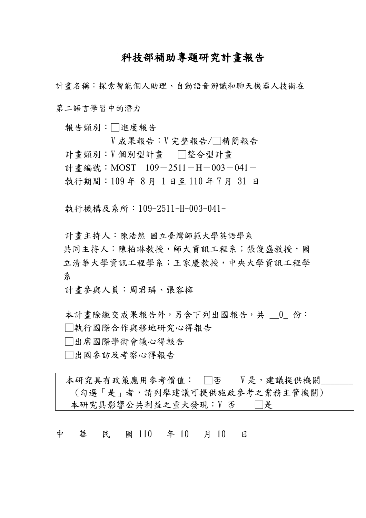# 科技部補助專題研究計畫報告

計畫名稱:探索智能個人助理、自動語音辨識和聊天機器人技術在 第二語言學習中的潛力

報告類別:□進度報告

V 成果報告:V 完整報告/□精簡報告 計畫類別:V個別型計畫 □整合型計畫 計書編號: MOST  $109-2511-H-003-041-$ 執行期間:109 年 8 月 1 日至 110 年 7 月 31 日

執行機構及系所:109-2511-H-003-041-

計畫主持人:陳浩然 國立臺灣師範大學英語學系 共同主持人:陳柏琳教授,師大資訊工程系;張俊盛教授,國 立清華大學資訊工程學系;王家慶教授,中央大學資訊工程學 系

計畫參與人員:周君璘、張容榕

本計書除繳交成果報告外,另会下列出國報告,共 0 份: □執行國際合作與移地研究心得報告

□出席國際學術會議心得報告

□出國參訪及考察心得報告

本研究具有政策應用參考價值: □否 V 是, 建議提供機關 (勾選「是」者,請列舉建議可提供施政參考之業務主管機關) 本研究具影響公共利益之重大發現:V 否 □□是

中 華 民 國 110 年 10 月 10 日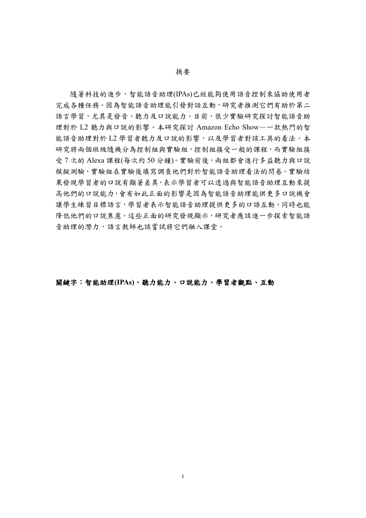#### 摘要

隨著科技的進步,智能語音助理(IPAs)已經能夠使用語音控制來協助使用者 完成各種任務。因為智能語音助理能引發對話互動,研究者推測它們有助於第二 語言學習,尤其是發音、聽力及口說能力。目前,很少實驗研究探討智能語音助 理對於 L2 聽力與口說的影響。本研究探討 Amazon Echo Show—一款熱門的智 能語音助理對於 L2 學習者聽力及口說的影響,以及學習者對該工具的看法。本 研究將兩個班級隨機分為控制組與實驗組,控制組接受一般的課程,而實驗組接 受7次的 Alexa 課程(每次約50分鐘)。實驗前後,兩組都會進行多益聽力與口說 模擬測驗,實驗組在實驗後填寫調查他們對於智能語音助理看法的問卷。實驗結 果發現學習者的口說有顯著差異,表示學習者可以透過與智能語音助理互動來提 高他們的口說能力,會有如此正面的影響是因為智能語音助理能供更多口說機會 讓學生練習目標語言,學習者表示智能語音助理提供更多的口語互動,同時也能 降低他們的口說焦慮。這些正面的研究發現顯示,研究者應該進一步探索智能語 音助理的潛力,語言教師也該嘗試將它們融入課堂。

關鍵字:智能助理**(IPAs)**、聽力能力、口說能力、學習者觀點、互動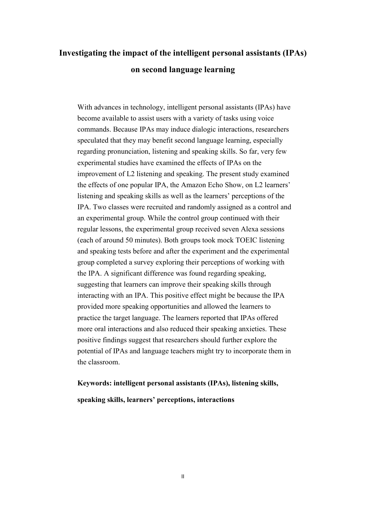# **Investigating the impact of the intelligent personal assistants (IPAs) on second language learning**

With advances in technology, intelligent personal assistants (IPAs) have become available to assist users with a variety of tasks using voice commands. Because IPAs may induce dialogic interactions, researchers speculated that they may benefit second language learning, especially regarding pronunciation, listening and speaking skills. So far, very few experimental studies have examined the effects of IPAs on the improvement of L2 listening and speaking. The present study examined the effects of one popular IPA, the Amazon Echo Show, on L2 learners' listening and speaking skills as well as the learners' perceptions of the IPA. Two classes were recruited and randomly assigned as a control and an experimental group. While the control group continued with their regular lessons, the experimental group received seven Alexa sessions (each of around 50 minutes). Both groups took mock TOEIC listening and speaking tests before and after the experiment and the experimental group completed a survey exploring their perceptions of working with the IPA. A significant difference was found regarding speaking, suggesting that learners can improve their speaking skills through interacting with an IPA. This positive effect might be because the IPA provided more speaking opportunities and allowed the learners to practice the target language. The learners reported that IPAs offered more oral interactions and also reduced their speaking anxieties. These positive findings suggest that researchers should further explore the potential of IPAs and language teachers might try to incorporate them in the classroom.

# **Keywords: intelligent personal assistants (IPAs), listening skills, speaking skills, learners' perceptions, interactions**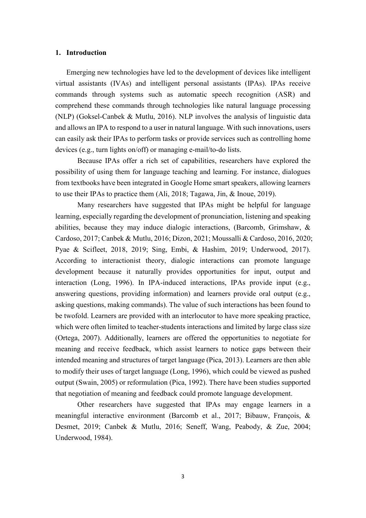#### **1. Introduction**

Emerging new technologies have led to the development of devices like intelligent virtual assistants (IVAs) and intelligent personal assistants (IPAs). IPAs receive commands through systems such as automatic speech recognition (ASR) and comprehend these commands through technologies like natural language processing (NLP) (Goksel-Canbek & Mutlu, 2016). NLP involves the analysis of linguistic data and allows an IPA to respond to a user in natural language. With such innovations, users can easily ask their IPAs to perform tasks or provide services such as controlling home devices (e.g., turn lights on/off) or managing e-mail/to-do lists.

Because IPAs offer a rich set of capabilities, researchers have explored the possibility of using them for language teaching and learning. For instance, dialogues from textbooks have been integrated in Google Home smart speakers, allowing learners to use their IPAs to practice them (Ali, 2018; Tagawa, Jin, & Inoue, 2019).

Many researchers have suggested that IPAs might be helpful for language learning, especially regarding the development of pronunciation, listening and speaking abilities, because they may induce dialogic interactions, (Barcomb, Grimshaw, & Cardoso, 2017; Canbek & Mutlu, 2016; Dizon, 2021; Moussalli & Cardoso, 2016, 2020; Pyae & Scifleet, 2018, 2019; Sing, Embi, & Hashim, 2019; Underwood, 2017). According to interactionist theory, dialogic interactions can promote language development because it naturally provides opportunities for input, output and interaction (Long, 1996). In IPA-induced interactions, IPAs provide input (e.g., answering questions, providing information) and learners provide oral output (e.g., asking questions, making commands). The value of such interactions has been found to be twofold. Learners are provided with an interlocutor to have more speaking practice, which were often limited to teacher-students interactions and limited by large class size (Ortega, 2007). Additionally, learners are offered the opportunities to negotiate for meaning and receive feedback, which assist learners to notice gaps between their intended meaning and structures of target language (Pica, 2013). Learners are then able to modify their uses of target language (Long, 1996), which could be viewed as pushed output (Swain, 2005) or reformulation (Pica, 1992). There have been studies supported that negotiation of meaning and feedback could promote language development.

Other researchers have suggested that IPAs may engage learners in a meaningful interactive environment (Barcomb et al., 2017; Bibauw, François, & Desmet, 2019; Canbek & Mutlu, 2016; Seneff, Wang, Peabody, & Zue, 2004; Underwood, 1984).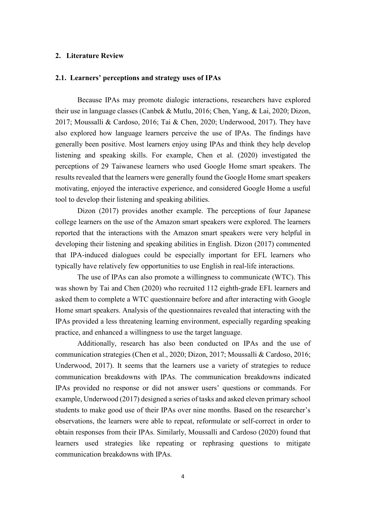#### **2. Literature Review**

## **2.1. Learners' perceptions and strategy uses of IPAs**

Because IPAs may promote dialogic interactions, researchers have explored their use in language classes (Canbek & Mutlu, 2016; Chen, Yang, & Lai, 2020; Dizon, 2017; Moussalli & Cardoso, 2016; Tai & Chen, 2020; Underwood, 2017). They have also explored how language learners perceive the use of IPAs. The findings have generally been positive. Most learners enjoy using IPAs and think they help develop listening and speaking skills. For example, Chen et al. (2020) investigated the perceptions of 29 Taiwanese learners who used Google Home smart speakers. The results revealed that the learners were generally found the Google Home smart speakers motivating, enjoyed the interactive experience, and considered Google Home a useful tool to develop their listening and speaking abilities.

Dizon (2017) provides another example. The perceptions of four Japanese college learners on the use of the Amazon smart speakers were explored. The learners reported that the interactions with the Amazon smart speakers were very helpful in developing their listening and speaking abilities in English. Dizon (2017) commented that IPA-induced dialogues could be especially important for EFL learners who typically have relatively few opportunities to use English in real-life interactions.

The use of IPAs can also promote a willingness to communicate (WTC). This was shown by Tai and Chen (2020) who recruited 112 eighth-grade EFL learners and asked them to complete a WTC questionnaire before and after interacting with Google Home smart speakers. Analysis of the questionnaires revealed that interacting with the IPAs provided a less threatening learning environment, especially regarding speaking practice, and enhanced a willingness to use the target language.

Additionally, research has also been conducted on IPAs and the use of communication strategies (Chen et al., 2020; Dizon, 2017; Moussalli & Cardoso, 2016; Underwood, 2017). It seems that the learners use a variety of strategies to reduce communication breakdowns with IPAs. The communication breakdowns indicated IPAs provided no response or did not answer users' questions or commands. For example, Underwood (2017) designed a series of tasks and asked eleven primary school students to make good use of their IPAs over nine months. Based on the researcher's observations, the learners were able to repeat, reformulate or self-correct in order to obtain responses from their IPAs. Similarly, Moussalli and Cardoso (2020) found that learners used strategies like repeating or rephrasing questions to mitigate communication breakdowns with IPAs.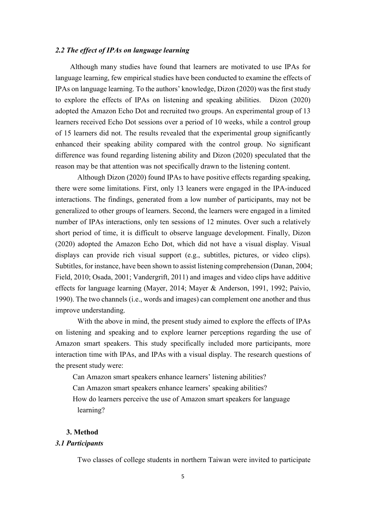#### *2.2 The effect of IPAs on language learning*

Although many studies have found that learners are motivated to use IPAs for language learning, few empirical studies have been conducted to examine the effects of IPAs on language learning. To the authors' knowledge, Dizon (2020) was the first study to explore the effects of IPAs on listening and speaking abilities. Dizon (2020) adopted the Amazon Echo Dot and recruited two groups. An experimental group of 13 learners received Echo Dot sessions over a period of 10 weeks, while a control group of 15 learners did not. The results revealed that the experimental group significantly enhanced their speaking ability compared with the control group. No significant difference was found regarding listening ability and Dizon (2020) speculated that the reason may be that attention was not specifically drawn to the listening content.

Although Dizon (2020) found IPAs to have positive effects regarding speaking, there were some limitations. First, only 13 leaners were engaged in the IPA-induced interactions. The findings, generated from a low number of participants, may not be generalized to other groups of learners. Second, the learners were engaged in a limited number of IPAs interactions, only ten sessions of 12 minutes. Over such a relatively short period of time, it is difficult to observe language development. Finally, Dizon (2020) adopted the Amazon Echo Dot, which did not have a visual display. Visual displays can provide rich visual support (e.g., subtitles, pictures, or video clips). Subtitles, for instance, have been shown to assist listening comprehension (Danan, 2004; Field, 2010; Osada, 2001; Vandergrift, 2011) and images and video clips have additive effects for language learning (Mayer, 2014; Mayer & Anderson, 1991, 1992; Paivio, 1990). The two channels (i.e., words and images) can complement one another and thus improve understanding.

With the above in mind, the present study aimed to explore the effects of IPAs on listening and speaking and to explore learner perceptions regarding the use of Amazon smart speakers. This study specifically included more participants, more interaction time with IPAs, and IPAs with a visual display. The research questions of the present study were:

Can Amazon smart speakers enhance learners' listening abilities?

Can Amazon smart speakers enhance learners' speaking abilities?

How do learners perceive the use of Amazon smart speakers for language learning?

## **3. Method**

### *3.1 Participants*

Two classes of college students in northern Taiwan were invited to participate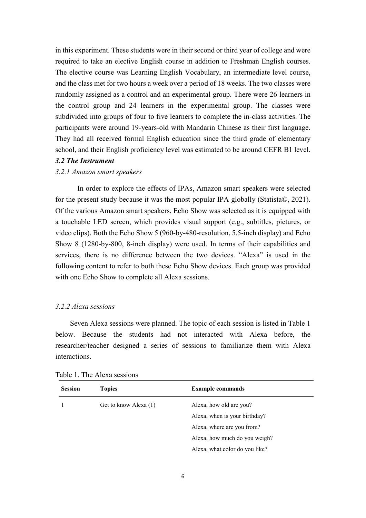in this experiment. These students were in their second or third year of college and were required to take an elective English course in addition to Freshman English courses. The elective course was Learning English Vocabulary, an intermediate level course, and the class met for two hours a week over a period of 18 weeks. The two classes were randomly assigned as a control and an experimental group. There were 26 learners in the control group and 24 learners in the experimental group. The classes were subdivided into groups of four to five learners to complete the in-class activities. The participants were around 19-years-old with Mandarin Chinese as their first language. They had all received formal English education since the third grade of elementary school, and their English proficiency level was estimated to be around CEFR B1 level.

### *3.2 The Instrument*

### *3.2.1 Amazon smart speakers*

In order to explore the effects of IPAs, Amazon smart speakers were selected for the present study because it was the most popular IPA globally (Statista©, 2021). Of the various Amazon smart speakers, Echo Show was selected as it is equipped with a touchable LED screen, which provides visual support (e.g., subtitles, pictures, or video clips). Both the Echo Show 5 (960-by-480-resolution, 5.5-inch display) and Echo Show 8 (1280-by-800, 8-inch display) were used. In terms of their capabilities and services, there is no difference between the two devices. "Alexa" is used in the following content to refer to both these Echo Show devices. Each group was provided with one Echo Show to complete all Alexa sessions.

#### *3.2.2 Alexa sessions*

Seven Alexa sessions were planned. The topic of each session is listed in Table 1 below. Because the students had not interacted with Alexa before, the researcher/teacher designed a series of sessions to familiarize them with Alexa interactions.

| <b>Session</b> | <b>Topics</b>         | <b>Example commands</b>        |  |
|----------------|-----------------------|--------------------------------|--|
|                | Get to know Alexa (1) | Alexa, how old are you?        |  |
|                |                       | Alexa, when is your birthday?  |  |
|                |                       | Alexa, where are you from?     |  |
|                |                       | Alexa, how much do you weigh?  |  |
|                |                       | Alexa, what color do you like? |  |

Table 1. The Alexa sessions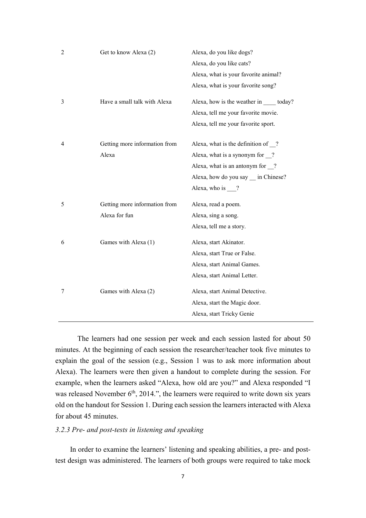|                | Get to know Alexa (2)         | Alexa, do you like dogs?                       |
|----------------|-------------------------------|------------------------------------------------|
|                |                               | Alexa, do you like cats?                       |
|                |                               | Alexa, what is your favorite animal?           |
|                |                               | Alexa, what is your favorite song?             |
| 3              | Have a small talk with Alexa  | Alexa, how is the weather in _____ today?      |
|                |                               | Alexa, tell me your favorite movie.            |
|                |                               | Alexa, tell me your favorite sport.            |
| $\overline{4}$ | Getting more information from | Alexa, what is the definition of $\frac{?}{?}$ |
|                | Alexa                         | Alexa, what is a synonym for $\frac{?}{?}$     |
|                |                               | Alexa, what is an antonym for $\frac{1}{2}$ ?  |
|                |                               | Alexa, how do you say _ in Chinese?            |
|                |                               | Alexa, who is $\frac{?}{?}$                    |
| 5              | Getting more information from | Alexa, read a poem.                            |
|                |                               |                                                |
|                | Alexa for fun                 | Alexa, sing a song.                            |
|                |                               | Alexa, tell me a story.                        |
| 6              | Games with Alexa (1)          | Alexa, start Akinator.                         |
|                |                               | Alexa, start True or False.                    |
|                |                               | Alexa, start Animal Games.                     |
|                |                               | Alexa, start Animal Letter.                    |
| 7              | Games with Alexa (2)          | Alexa, start Animal Detective.                 |
|                |                               | Alexa, start the Magic door.                   |

The learners had one session per week and each session lasted for about 50 minutes. At the beginning of each session the researcher/teacher took five minutes to explain the goal of the session (e.g., Session 1 was to ask more information about Alexa). The learners were then given a handout to complete during the session. For example, when the learners asked "Alexa, how old are you?" and Alexa responded "I was released November  $6<sup>th</sup>$ , 2014.", the learners were required to write down six years old on the handout for Session 1. During each session the learners interacted with Alexa for about 45 minutes.

## *3.2.3 Pre- and post-tests in listening and speaking*

In order to examine the learners' listening and speaking abilities, a pre- and posttest design was administered. The learners of both groups were required to take mock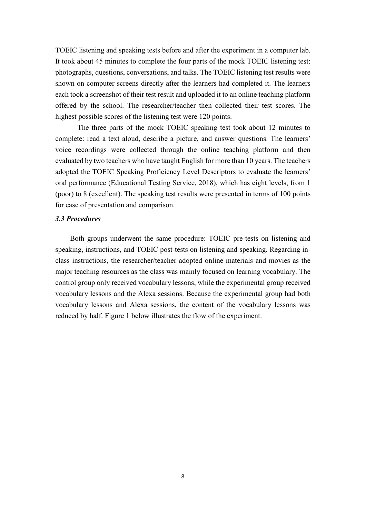TOEIC listening and speaking tests before and after the experiment in a computer lab. It took about 45 minutes to complete the four parts of the mock TOEIC listening test: photographs, questions, conversations, and talks. The TOEIC listening test results were shown on computer screens directly after the learners had completed it. The learners each took a screenshot of their test result and uploaded it to an online teaching platform offered by the school. The researcher/teacher then collected their test scores. The highest possible scores of the listening test were 120 points.

The three parts of the mock TOEIC speaking test took about 12 minutes to complete: read a text aloud, describe a picture, and answer questions. The learners' voice recordings were collected through the online teaching platform and then evaluated by two teachers who have taught English for more than 10 years. The teachers adopted the TOEIC Speaking Proficiency Level Descriptors to evaluate the learners' oral performance (Educational Testing Service, 2018), which has eight levels, from 1 (poor) to 8 (excellent). The speaking test results were presented in terms of 100 points for ease of presentation and comparison.

#### *3.3 Procedures*

Both groups underwent the same procedure: TOEIC pre-tests on listening and speaking, instructions, and TOEIC post-tests on listening and speaking. Regarding inclass instructions, the researcher/teacher adopted online materials and movies as the major teaching resources as the class was mainly focused on learning vocabulary. The control group only received vocabulary lessons, while the experimental group received vocabulary lessons and the Alexa sessions. Because the experimental group had both vocabulary lessons and Alexa sessions, the content of the vocabulary lessons was reduced by half. Figure 1 below illustrates the flow of the experiment.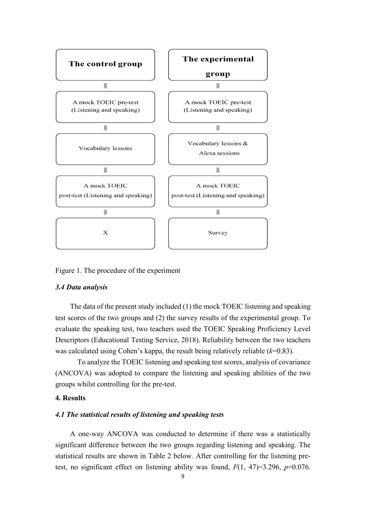

Figure 1. The procedure of the experiment

#### *3.4 Data analysis*

The data of the present study included (1) the mock TOEIC listening and speaking test scores of the two groups and (2) the survey results of the experimental group. To evaluate the speaking test, two teachers used the TOEIC Speaking Proficiency Level Descriptors (Educational Testing Service, 2018). Reliability between the two teachers was calculated using Cohen's kappa, the result being relatively reliable (*k*=0.83).

To analyze the TOEIC listening and speaking test scores, analysis of covariance (ANCOVA) was adopted to compare the listening and speaking abilities of the two groups whilst controlling for the pre-test.

### **4. Results**

#### *4.1 The statistical results of listening and speaking tests*

A one-way ANCOVA was conducted to determine if there was a statistically significant difference between the two groups regarding listening and speaking. The statistical results are shown in Table 2 below. After controlling for the listening pretest, no significant effect on listening ability was found,  $F(1, 47)=3.296$ ,  $p=0.076$ .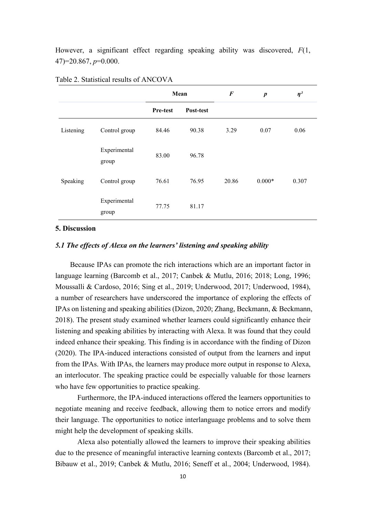However, a significant effect regarding speaking ability was discovered, *F*(1, 47)=20.867, *p*=0.000.

|           |                       | Mean     |           | $\bm{F}$ | $\boldsymbol{p}$ | $\eta^2$ |
|-----------|-----------------------|----------|-----------|----------|------------------|----------|
|           |                       | Pre-test | Post-test |          |                  |          |
| Listening | Control group         | 84.46    | 90.38     | 3.29     | 0.07             | 0.06     |
|           | Experimental<br>group | 83.00    | 96.78     |          |                  |          |
| Speaking  | Control group         | 76.61    | 76.95     | 20.86    | $0.000*$         | 0.307    |
|           | Experimental<br>group | 77.75    | 81.17     |          |                  |          |

Table 2. Statistical results of ANCOVA

#### **5. Discussion**

### *5.1 The effects of Alexa on the learners' listening and speaking ability*

Because IPAs can promote the rich interactions which are an important factor in language learning (Barcomb et al., 2017; Canbek & Mutlu, 2016; 2018; Long, 1996; Moussalli & Cardoso, 2016; Sing et al., 2019; Underwood, 2017; Underwood, 1984), a number of researchers have underscored the importance of exploring the effects of IPAs on listening and speaking abilities (Dizon, 2020; Zhang, Beckmann, & Beckmann, 2018). The present study examined whether learners could significantly enhance their listening and speaking abilities by interacting with Alexa. It was found that they could indeed enhance their speaking. This finding is in accordance with the finding of Dizon (2020). The IPA-induced interactions consisted of output from the learners and input from the IPAs. With IPAs, the learners may produce more output in response to Alexa, an interlocutor. The speaking practice could be especially valuable for those learners who have few opportunities to practice speaking.

Furthermore, the IPA-induced interactions offered the learners opportunities to negotiate meaning and receive feedback, allowing them to notice errors and modify their language. The opportunities to notice interlanguage problems and to solve them might help the development of speaking skills.

Alexa also potentially allowed the learners to improve their speaking abilities due to the presence of meaningful interactive learning contexts (Barcomb et al., 2017; Bibauw et al., 2019; Canbek & Mutlu, 2016; Seneff et al., 2004; Underwood, 1984).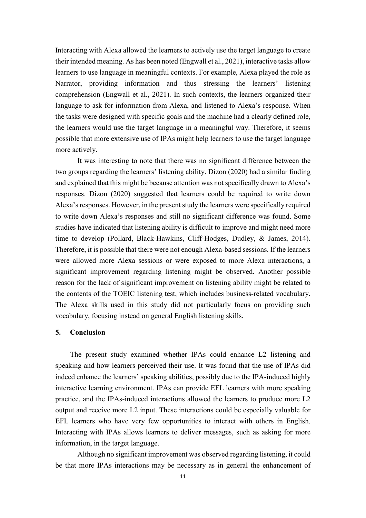Interacting with Alexa allowed the learners to actively use the target language to create their intended meaning. As has been noted (Engwall et al., 2021), interactive tasks allow learners to use language in meaningful contexts. For example, Alexa played the role as Narrator, providing information and thus stressing the learners' listening comprehension (Engwall et al., 2021). In such contexts, the learners organized their language to ask for information from Alexa, and listened to Alexa's response. When the tasks were designed with specific goals and the machine had a clearly defined role, the learners would use the target language in a meaningful way. Therefore, it seems possible that more extensive use of IPAs might help learners to use the target language more actively.

It was interesting to note that there was no significant difference between the two groups regarding the learners' listening ability. Dizon (2020) had a similar finding and explained that this might be because attention was not specifically drawn to Alexa's responses. Dizon (2020) suggested that learners could be required to write down Alexa's responses. However, in the present study the learners were specifically required to write down Alexa's responses and still no significant difference was found. Some studies have indicated that listening ability is difficult to improve and might need more time to develop (Pollard, Black-Hawkins, Cliff-Hodges, Dudley, & James, 2014). Therefore, it is possible that there were not enough Alexa-based sessions. If the learners were allowed more Alexa sessions or were exposed to more Alexa interactions, a significant improvement regarding listening might be observed. Another possible reason for the lack of significant improvement on listening ability might be related to the contents of the TOEIC listening test, which includes business-related vocabulary. The Alexa skills used in this study did not particularly focus on providing such vocabulary, focusing instead on general English listening skills.

#### **5. Conclusion**

The present study examined whether IPAs could enhance L2 listening and speaking and how learners perceived their use. It was found that the use of IPAs did indeed enhance the learners' speaking abilities, possibly due to the IPA-induced highly interactive learning environment. IPAs can provide EFL learners with more speaking practice, and the IPAs-induced interactions allowed the learners to produce more L2 output and receive more L2 input. These interactions could be especially valuable for EFL learners who have very few opportunities to interact with others in English. Interacting with IPAs allows learners to deliver messages, such as asking for more information, in the target language.

Although no significant improvement was observed regarding listening, it could be that more IPAs interactions may be necessary as in general the enhancement of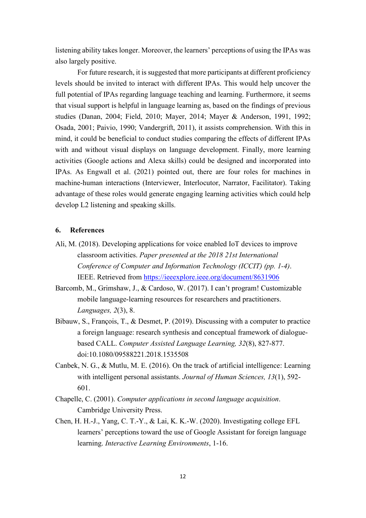listening ability takes longer. Moreover, the learners' perceptions of using the IPAs was also largely positive.

For future research, it is suggested that more participants at different proficiency levels should be invited to interact with different IPAs. This would help uncover the full potential of IPAs regarding language teaching and learning. Furthermore, it seems that visual support is helpful in language learning as, based on the findings of previous studies (Danan, 2004; Field, 2010; Mayer, 2014; Mayer & Anderson, 1991, 1992; Osada, 2001; Paivio, 1990; Vandergrift, 2011), it assists comprehension. With this in mind, it could be beneficial to conduct studies comparing the effects of different IPAs with and without visual displays on language development. Finally, more learning activities (Google actions and Alexa skills) could be designed and incorporated into IPAs. As Engwall et al. (2021) pointed out, there are four roles for machines in machine-human interactions (Interviewer, Interlocutor, Narrator, Facilitator). Taking advantage of these roles would generate engaging learning activities which could help develop L2 listening and speaking skills.

#### **6. References**

- Ali, M. (2018). Developing applications for voice enabled IoT devices to improve classroom activities. *Paper presented at the 2018 21st International Conference of Computer and Information Technology (ICCIT) (pp. 1-4)*. IEEE. Retrieved from<https://ieeexplore.ieee.org/document/8631906>
- Barcomb, M., Grimshaw, J., & Cardoso, W. (2017). I can't program! Customizable mobile language-learning resources for researchers and practitioners. *Languages, 2*(3), 8.
- Bibauw, S., François, T., & Desmet, P. (2019). Discussing with a computer to practice a foreign language: research synthesis and conceptual framework of dialoguebased CALL. *Computer Assisted Language Learning, 32*(8), 827-877. doi:10.1080/09588221.2018.1535508
- Canbek, N. G., & Mutlu, M. E. (2016). On the track of artificial intelligence: Learning with intelligent personal assistants. *Journal of Human Sciences, 13*(1), 592- 601.
- Chapelle, C. (2001). *Computer applications in second language acquisition*. Cambridge University Press.
- Chen, H. H.-J., Yang, C. T.-Y., & Lai, K. K.-W. (2020). Investigating college EFL learners' perceptions toward the use of Google Assistant for foreign language learning. *Interactive Learning Environments*, 1-16.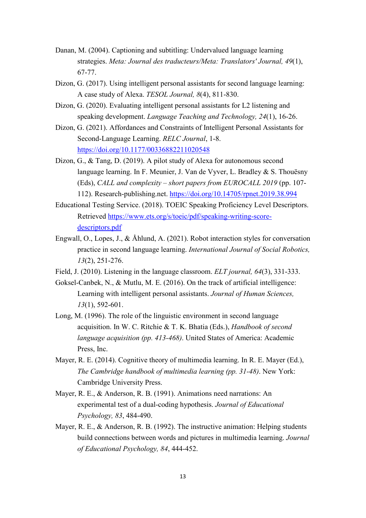- Danan, M. (2004). Captioning and subtitling: Undervalued language learning strategies. *Meta: Journal des traducteurs/Meta: Translators' Journal, 49*(1), 67-77.
- Dizon, G. (2017). Using intelligent personal assistants for second language learning: A case study of Alexa. *TESOL Journal, 8*(4), 811-830.
- Dizon, G. (2020). Evaluating intelligent personal assistants for L2 listening and speaking development. *Language Teaching and Technology, 24*(1), 16-26.
- Dizon, G. (2021). Affordances and Constraints of Intelligent Personal Assistants for Second-Language Learning. *RELC Journal*, 1-8. <https://doi.org/10.1177/00336882211020548>
- Dizon, G., & Tang, D. (2019). A pilot study of Alexa for autonomous second language learning. In F. Meunier, J. Van de Vyver, L. Bradley & S. Thouësny (Eds), *CALL and complexity – short papers from EUROCALL 2019* (pp. 107- 112). Research-publishing.net.<https://doi.org/10.14705/rpnet.2019.38.994>
- Educational Testing Service. (2018). TOEIC Speaking Proficiency Level Descriptors. Retrieved [https://www.ets.org/s/toeic/pdf/speaking-writing-score](https://www.ets.org/s/toeic/pdf/speaking-writing-score-descriptors.pdf)[descriptors.pdf](https://www.ets.org/s/toeic/pdf/speaking-writing-score-descriptors.pdf)
- Engwall, O., Lopes, J., & Åhlund, A. (2021). Robot interaction styles for conversation practice in second language learning. *International Journal of Social Robotics, 13*(2), 251-276.
- Field, J. (2010). Listening in the language classroom. *ELT journal, 64*(3), 331-333.
- Goksel-Canbek, N., & Mutlu, M. E. (2016). On the track of artificial intelligence: Learning with intelligent personal assistants. *Journal of Human Sciences, 13*(1), 592-601.
- Long, M. (1996). The role of the linguistic environment in second language acquisition. In W. C. Ritchie & T. K. Bhatia (Eds.), *Handbook of second language acquisition (pp. 413-468)*. United States of America: Academic Press, Inc.
- Mayer, R. E. (2014). Cognitive theory of multimedia learning. In R. E. Mayer (Ed.), *The Cambridge handbook of multimedia learning (pp. 31-48)*. New York: Cambridge University Press.
- Mayer, R. E., & Anderson, R. B. (1991). Animations need narrations: An experimental test of a dual-coding hypothesis. *Journal of Educational Psychology, 83*, 484-490.
- Mayer, R. E., & Anderson, R. B. (1992). The instructive animation: Helping students build connections between words and pictures in multimedia learning. *Journal of Educational Psychology, 84*, 444-452.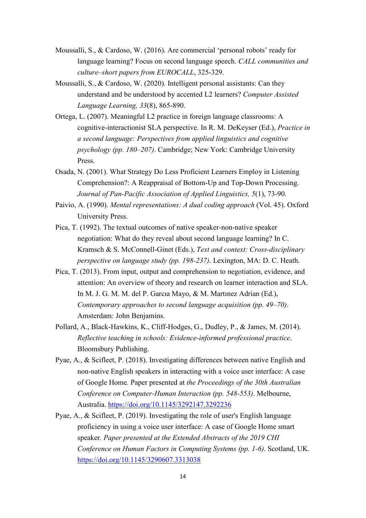- Moussalli, S., & Cardoso, W. (2016). Are commercial 'personal robots' ready for language learning? Focus on second language speech. *CALL communities and culture–short papers from EUROCALL*, 325-329.
- Moussalli, S., & Cardoso, W. (2020). Intelligent personal assistants: Can they understand and be understood by accented L2 learners? *Computer Assisted Language Learning, 33*(8), 865-890.
- Ortega, L. (2007). Meaningful L2 practice in foreign language classrooms: A cognitive-interactionist SLA perspective. In R. M. DeKeyser (Ed.), *Practice in a second language: Perspectives from applied linguistics and cognitive psychology (pp. 180–207)*. Cambridge; New York: Cambridge University Press.
- Osada, N. (2001). What Strategy Do Less Proficient Learners Employ in Listening Comprehension?: A Reappraisal of Bottom-Up and Top-Down Processing. *Journal of Pan-Pacific Association of Applied Linguistics, 5*(1), 73-90.
- Paivio, A. (1990). *Mental representations: A dual coding approach* (Vol. 45). Oxford University Press.
- Pica, T. (1992). The textual outcomes of native speaker-non-native speaker negotiation: What do they reveal about second language learning? In C. Kramsch & S. McConnell-Ginet (Eds.), *Text and context: Cross-disciplinary perspective on language study (pp. 198-237)*. Lexington, MA: D. C. Heath.
- Pica, T. (2013). From input, output and comprehension to negotiation, evidence, and attention: An overview of theory and research on learner interaction and SLA. In M. J. G. M. M. del P. Garcıa Mayo, & M. Martınez Adrian (Ed.), *Contemporary approaches to second language acquisition (pp. 49–70)*. Amsterdam: John Benjamins.
- Pollard, A., Black-Hawkins, K., Cliff-Hodges, G., Dudley, P., & James, M. (2014). *Reflective teaching in schools: Evidence-informed professional practice*. Bloomsbury Publishing.
- Pyae, A., & Scifleet, P. (2018). Investigating differences between native English and non-native English speakers in interacting with a voice user interface: A case of Google Home*.* Paper presented at *the Proceedings of the 30th Australian Conference on Computer-Human Interaction (pp. 548-553)*. Melbourne, Australia.<https://doi.org/10.1145/3292147.3292236>
- Pyae, A., & Scifleet, P. (2019). Investigating the role of user's English language proficiency in using a voice user interface: A case of Google Home smart speaker*. Paper presented at the Extended Abstracts of the 2019 CHI Conference on Human Factors in Computing Systems (pp. 1-6)*. Scotland, UK. <https://doi.org/10.1145/3290607.3313038>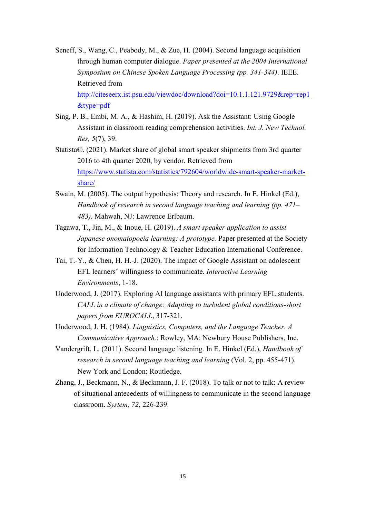- Seneff, S., Wang, C., Peabody, M., & Zue, H. (2004). Second language acquisition through human computer dialogue. *Paper presented at the 2004 International Symposium on Chinese Spoken Language Processing (pp. 341-344)*. IEEE. Retrieved from [http://citeseerx.ist.psu.edu/viewdoc/download?doi=10.1.1.121.9729&rep=rep1](http://citeseerx.ist.psu.edu/viewdoc/download?doi=10.1.1.121.9729&rep=rep1&type=pdf) [&type=pdf](http://citeseerx.ist.psu.edu/viewdoc/download?doi=10.1.1.121.9729&rep=rep1&type=pdf)
- Sing, P. B., Embi, M. A., & Hashim, H. (2019). Ask the Assistant: Using Google Assistant in classroom reading comprehension activities. *Int. J. New Technol. Res, 5*(7), 39.
- Statista©. (2021). Market share of global smart speaker shipments from 3rd quarter 2016 to 4th quarter 2020, by vendor. Retrieved from [https://www.statista.com/statistics/792604/worldwide-smart-speaker-market](https://www.statista.com/statistics/792604/worldwide-smart-speaker-market-share/)[share/](https://www.statista.com/statistics/792604/worldwide-smart-speaker-market-share/)
- Swain, M. (2005). The output hypothesis: Theory and research. In E. Hinkel (Ed.), *Handbook of research in second language teaching and learning (pp. 471– 483)*. Mahwah, NJ: Lawrence Erlbaum.
- Tagawa, T., Jin, M., & Inoue, H. (2019). *A smart speaker application to assist Japanese onomatopoeia learning: A prototype.* Paper presented at the Society for Information Technology & Teacher Education International Conference.
- Tai, T.-Y., & Chen, H. H.-J. (2020). The impact of Google Assistant on adolescent EFL learners' willingness to communicate. *Interactive Learning Environments*, 1-18.
- Underwood, J. (2017). Exploring AI language assistants with primary EFL students. *CALL in a climate of change: Adapting to turbulent global conditions-short papers from EUROCALL*, 317-321.
- Underwood, J. H. (1984). *Linguistics, Computers, and the Language Teacher. A Communicative Approach.*: Rowley, MA: Newbury House Publishers, Inc.
- Vandergrift, L. (2011). Second language listening. In E. Hinkel (Ed.), *Handbook of research in second language teaching and learning* (Vol. 2, pp. 455-471). New York and London: Routledge.
- Zhang, J., Beckmann, N., & Beckmann, J. F. (2018). To talk or not to talk: A review of situational antecedents of willingness to communicate in the second language classroom. *System, 72*, 226-239.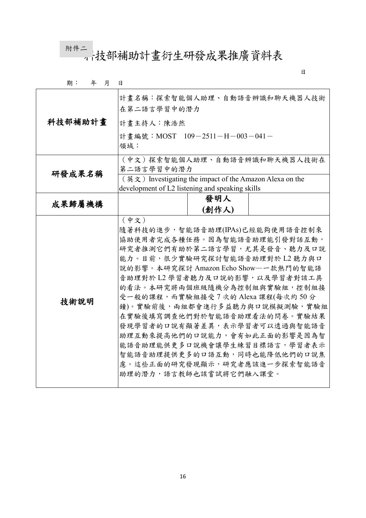m#二<br>--- 4 技部補助計畫衍生研發成果推廣資料表

日

| 期:<br>年<br>月 | 日                                                                              |
|--------------|--------------------------------------------------------------------------------|
|              | 計畫名稱:探索智能個人助理、自動語音辨識和聊天機器人技術<br>在第二語言學習中的潛力                                    |
| 科技部補助計畫      | 計畫主持人:陳浩然                                                                      |
|              | 計畫編號: MOST 109-2511-H-003-041-                                                 |
|              | 領域:                                                                            |
|              | (中文)探索智能個人助理、自動語音辨識和聊天機器人技術在                                                   |
| 研發成果名稱       | 第二語言學習中的潛力                                                                     |
|              | $(\nexists \phi \times x)$ Investigating the impact of the Amazon Alexa on the |
|              | development of L2 listening and speaking skills                                |
| 成果歸屬機構       | 發明人                                                                            |
|              | (創作人)                                                                          |
|              | (中文)                                                                           |
|              | 隨著科技的進步,智能語音助理(IPAs)已經能夠使用語音控制來                                                |
|              | 協助使用者完成各種任務。因為智能語音助理能引發對話互動,                                                   |
|              | 研究者推測它們有助於第二語言學習,尤其是發音、聽力及口說                                                   |
|              | 能力。目前,很少實驗研究探討智能語音助理對於 L2 聽力與口                                                 |
|              | 說的影響。本研究探討 Amazon Echo Show—一款熱門的智能語                                           |
|              | 音助理對於 L2 學習者聽力及口說的影響,以及學習者對該工具                                                 |
|              | 的看法。本研究將兩個班級隨機分為控制組與實驗組,控制組接                                                   |
| 技術說明         | 受一般的課程,而實驗組接受7次的 Alexa 課程(每次約50分                                               |
|              | 鐘)。實驗前後,兩組都會進行多益聽力與口說模擬測驗,實驗組                                                  |
|              | 在實驗後填寫調查他們對於智能語音助理看法的問卷。實驗結果                                                   |
|              | 發現學習者的口說有顯著差異,表示學習者可以透過與智能語音                                                   |
|              | 助理互動來提高他們的口說能力,會有如此正面的影響是因為智                                                   |
|              | 能語音助理能供更多口說機會讓學生練習目標語言,學習者表示                                                   |
|              | 智能語音助理提供更多的口語互動,同時也能降低他們的口說焦                                                   |
|              | 慮。這些正面的研究發現顯示,研究者應該進一步探索智能語音                                                   |
|              | 助理的潛力,語言教師也該嘗試將它們融入課堂。                                                         |
|              |                                                                                |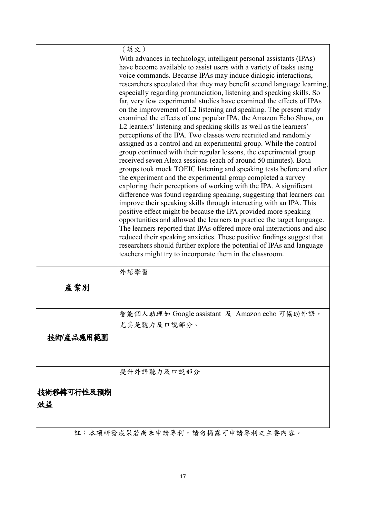|            | (英文)                                                                                                                                               |
|------------|----------------------------------------------------------------------------------------------------------------------------------------------------|
|            | With advances in technology, intelligent personal assistants (IPAs)                                                                                |
|            | have become available to assist users with a variety of tasks using                                                                                |
|            | voice commands. Because IPAs may induce dialogic interactions,                                                                                     |
|            | researchers speculated that they may benefit second language learning,                                                                             |
|            | especially regarding pronunciation, listening and speaking skills. So                                                                              |
|            | far, very few experimental studies have examined the effects of IPAs                                                                               |
|            | on the improvement of L2 listening and speaking. The present study                                                                                 |
|            | examined the effects of one popular IPA, the Amazon Echo Show, on                                                                                  |
|            | L2 learners' listening and speaking skills as well as the learners'<br>perceptions of the IPA. Two classes were recruited and randomly             |
|            | assigned as a control and an experimental group. While the control                                                                                 |
|            | group continued with their regular lessons, the experimental group                                                                                 |
|            | received seven Alexa sessions (each of around 50 minutes). Both                                                                                    |
|            | groups took mock TOEIC listening and speaking tests before and after                                                                               |
|            | the experiment and the experimental group completed a survey                                                                                       |
|            | exploring their perceptions of working with the IPA. A significant                                                                                 |
|            | difference was found regarding speaking, suggesting that learners can                                                                              |
|            | improve their speaking skills through interacting with an IPA. This                                                                                |
|            | positive effect might be because the IPA provided more speaking                                                                                    |
|            | opportunities and allowed the learners to practice the target language.<br>The learners reported that IPAs offered more oral interactions and also |
|            | reduced their speaking anxieties. These positive findings suggest that                                                                             |
|            | researchers should further explore the potential of IPAs and language                                                                              |
|            | teachers might try to incorporate them in the classroom.                                                                                           |
|            |                                                                                                                                                    |
|            | 外語學習                                                                                                                                               |
| 產業別        |                                                                                                                                                    |
|            |                                                                                                                                                    |
|            |                                                                                                                                                    |
|            | 智能個人助理如 Google assistant 及 Amazon echo 可協助外語,                                                                                                      |
|            | 尤其是聽力及口說部分。                                                                                                                                        |
| 技術/產品應用範圍  |                                                                                                                                                    |
|            |                                                                                                                                                    |
|            |                                                                                                                                                    |
|            | 提升外語聽力及口說部分                                                                                                                                        |
|            |                                                                                                                                                    |
| 技術移轉可行性及預期 |                                                                                                                                                    |
| 效益         |                                                                                                                                                    |
|            |                                                                                                                                                    |
|            |                                                                                                                                                    |
|            |                                                                                                                                                    |

註:本項研發成果若尚未申請專利,請勿揭露可申請專利之主要內容。